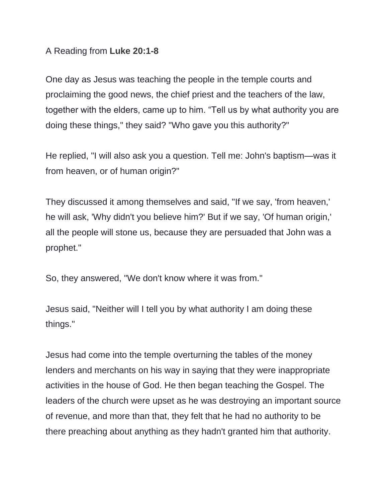## A Reading from **Luke 20:1-8**

One day as Jesus was teaching the people in the temple courts and proclaiming the good news, the chief priest and the teachers of the law, together with the elders, came up to him. "Tell us by what authority you are doing these things," they said? "Who gave you this authority?"

He replied, "I will also ask you a question. Tell me: John's baptism—was it from heaven, or of human origin?"

They discussed it among themselves and said, "If we say, 'from heaven,' he will ask, 'Why didn't you believe him?' But if we say, 'Of human origin,' all the people will stone us, because they are persuaded that John was a prophet."

So, they answered, "We don't know where it was from."

Jesus said, "Neither will I tell you by what authority I am doing these things."

Jesus had come into the temple overturning the tables of the money lenders and merchants on his way in saying that they were inappropriate activities in the house of God. He then began teaching the Gospel. The leaders of the church were upset as he was destroying an important source of revenue, and more than that, they felt that he had no authority to be there preaching about anything as they hadn't granted him that authority.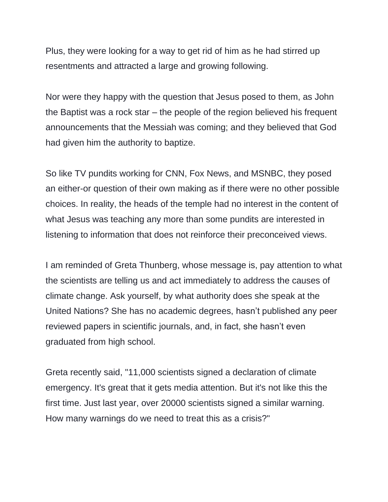Plus, they were looking for a way to get rid of him as he had stirred up resentments and attracted a large and growing following.

Nor were they happy with the question that Jesus posed to them, as John the Baptist was a rock star – the people of the region believed his frequent announcements that the Messiah was coming; and they believed that God had given him the authority to baptize.

So like TV pundits working for CNN, Fox News, and MSNBC, they posed an either-or question of their own making as if there were no other possible choices. In reality, the heads of the temple had no interest in the content of what Jesus was teaching any more than some pundits are interested in listening to information that does not reinforce their preconceived views.

I am reminded of Greta Thunberg, whose message is, pay attention to what the scientists are telling us and act immediately to address the causes of climate change. Ask yourself, by what authority does she speak at the United Nations? She has no academic degrees, hasn't published any peer reviewed papers in scientific journals, and, in fact, she hasn't even graduated from high school.

Greta recently said, "11,000 scientists signed a declaration of climate emergency. It's great that it gets media attention. But it's not like this the first time. Just last year, over 20000 scientists signed a similar warning. How many warnings do we need to treat this as a crisis?"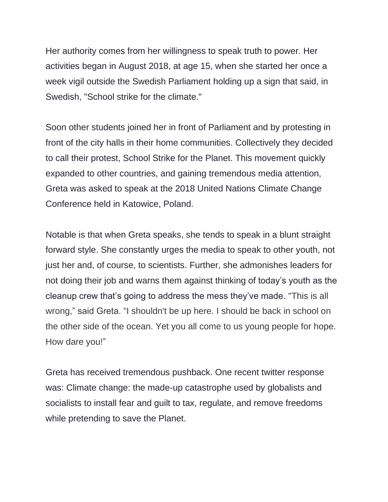Her authority comes from her willingness to speak truth to power. Her activities began in August 2018, at age 15, when she started her once a week vigil outside the Swedish Parliament holding up a sign that said, in Swedish, "School strike for the climate."

Soon other students joined her in front of Parliament and by protesting in front of the city halls in their home communities. Collectively they decided to call their protest, School Strike for the Planet. This movement quickly expanded to other countries, and gaining tremendous media attention, Greta was asked to speak at the 2018 United Nations Climate Change Conference held in Katowice, Poland.

Notable is that when Greta speaks, she tends to speak in a blunt straight forward style. She constantly urges the media to speak to other youth, not just her and, of course, to scientists. Further, she admonishes leaders for not doing their job and warns them against thinking of today's youth as the cleanup crew that's going to address the mess they've made. "This is all wrong," said Greta. "I shouldn't be up here. I should be back in school on the other side of the ocean. Yet you all come to us young people for hope. How dare you!"

Greta has received tremendous pushback. One recent twitter response was: Climate change: the made-up catastrophe used by globalists and socialists to install fear and guilt to tax, regulate, and remove freedoms while pretending to save the Planet.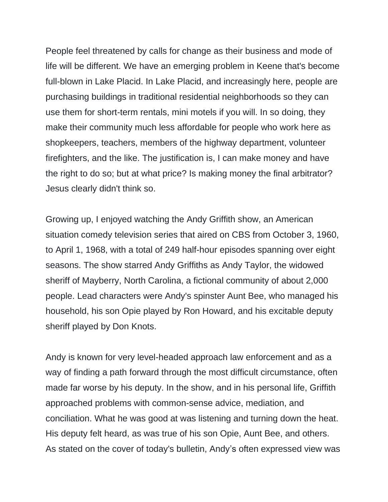People feel threatened by calls for change as their business and mode of life will be different. We have an emerging problem in Keene that's become full-blown in Lake Placid. In Lake Placid, and increasingly here, people are purchasing buildings in traditional residential neighborhoods so they can use them for short-term rentals, mini motels if you will. In so doing, they make their community much less affordable for people who work here as shopkeepers, teachers, members of the highway department, volunteer firefighters, and the like. The justification is, I can make money and have the right to do so; but at what price? Is making money the final arbitrator? Jesus clearly didn't think so.

Growing up, I enjoyed watching the Andy Griffith show, an American situation comedy television series that aired on CBS from October 3, 1960, to April 1, 1968, with a total of 249 half-hour episodes spanning over eight seasons. The show starred Andy Griffiths as Andy Taylor, the widowed sheriff of Mayberry, North Carolina, a fictional community of about 2,000 people. Lead characters were Andy's spinster Aunt Bee, who managed his household, his son Opie played by Ron Howard, and his excitable deputy sheriff played by Don Knots.

Andy is known for very level-headed approach law enforcement and as a way of finding a path forward through the most difficult circumstance, often made far worse by his deputy. In the show, and in his personal life, Griffith approached problems with common-sense advice, mediation, and conciliation. What he was good at was listening and turning down the heat. His deputy felt heard, as was true of his son Opie, Aunt Bee, and others. As stated on the cover of today's bulletin, Andy's often expressed view was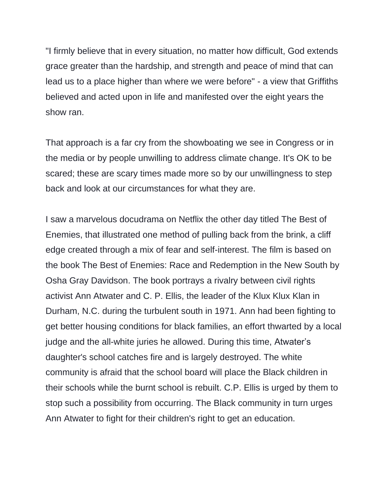"I firmly believe that in every situation, no matter how difficult, God extends grace greater than the hardship, and strength and peace of mind that can lead us to a place higher than where we were before" - a view that Griffiths believed and acted upon in life and manifested over the eight years the show ran.

That approach is a far cry from the showboating we see in Congress or in the media or by people unwilling to address climate change. It's OK to be scared; these are scary times made more so by our unwillingness to step back and look at our circumstances for what they are.

I saw a marvelous docudrama on Netflix the other day titled The Best of Enemies, that illustrated one method of pulling back from the brink, a cliff edge created through a mix of fear and self-interest. The film is based on the book The Best of Enemies: Race and Redemption in the New South by Osha Gray Davidson. The book portrays a rivalry between civil rights activist Ann Atwater and C. P. Ellis, the leader of the Klux Klux Klan in Durham, N.C. during the turbulent south in 1971. Ann had been fighting to get better housing conditions for black families, an effort thwarted by a local judge and the all-white juries he allowed. During this time, Atwater's daughter's school catches fire and is largely destroyed. The white community is afraid that the school board will place the Black children in their schools while the burnt school is rebuilt. C.P. Ellis is urged by them to stop such a possibility from occurring. The Black community in turn urges Ann Atwater to fight for their children's right to get an education.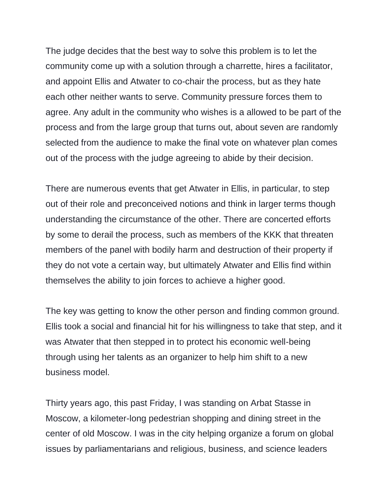The judge decides that the best way to solve this problem is to let the community come up with a solution through a charrette, hires a facilitator, and appoint Ellis and Atwater to co-chair the process, but as they hate each other neither wants to serve. Community pressure forces them to agree. Any adult in the community who wishes is a allowed to be part of the process and from the large group that turns out, about seven are randomly selected from the audience to make the final vote on whatever plan comes out of the process with the judge agreeing to abide by their decision.

There are numerous events that get Atwater in Ellis, in particular, to step out of their role and preconceived notions and think in larger terms though understanding the circumstance of the other. There are concerted efforts by some to derail the process, such as members of the KKK that threaten members of the panel with bodily harm and destruction of their property if they do not vote a certain way, but ultimately Atwater and Ellis find within themselves the ability to join forces to achieve a higher good.

The key was getting to know the other person and finding common ground. Ellis took a social and financial hit for his willingness to take that step, and it was Atwater that then stepped in to protect his economic well-being through using her talents as an organizer to help him shift to a new business model.

Thirty years ago, this past Friday, I was standing on Arbat Stasse in Moscow, a kilometer-long pedestrian shopping and dining street in the center of old Moscow. I was in the city helping organize a forum on global issues by parliamentarians and religious, business, and science leaders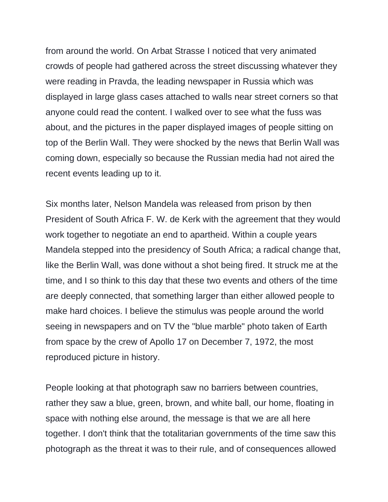from around the world. On Arbat Strasse I noticed that very animated crowds of people had gathered across the street discussing whatever they were reading in Pravda, the leading newspaper in Russia which was displayed in large glass cases attached to walls near street corners so that anyone could read the content. I walked over to see what the fuss was about, and the pictures in the paper displayed images of people sitting on top of the Berlin Wall. They were shocked by the news that Berlin Wall was coming down, especially so because the Russian media had not aired the recent events leading up to it.

Six months later, Nelson Mandela was released from prison by then President of South Africa F. W. de Kerk with the agreement that they would work together to negotiate an end to apartheid. Within a couple years Mandela stepped into the presidency of South Africa; a radical change that, like the Berlin Wall, was done without a shot being fired. It struck me at the time, and I so think to this day that these two events and others of the time are deeply connected, that something larger than either allowed people to make hard choices. I believe the stimulus was people around the world seeing in newspapers and on TV the "blue marble" photo taken of Earth from space by the crew of Apollo 17 on December 7, 1972, the most reproduced picture in history.

People looking at that photograph saw no barriers between countries, rather they saw a blue, green, brown, and white ball, our home, floating in space with nothing else around, the message is that we are all here together. I don't think that the totalitarian governments of the time saw this photograph as the threat it was to their rule, and of consequences allowed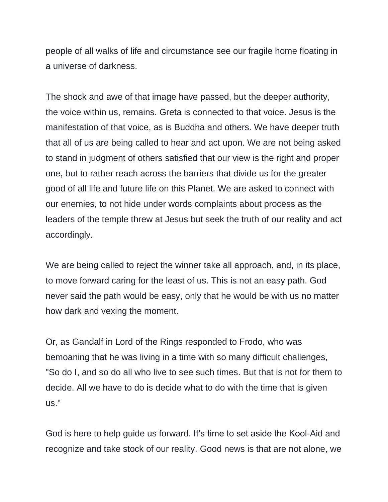people of all walks of life and circumstance see our fragile home floating in a universe of darkness.

The shock and awe of that image have passed, but the deeper authority, the voice within us, remains. Greta is connected to that voice. Jesus is the manifestation of that voice, as is Buddha and others. We have deeper truth that all of us are being called to hear and act upon. We are not being asked to stand in judgment of others satisfied that our view is the right and proper one, but to rather reach across the barriers that divide us for the greater good of all life and future life on this Planet. We are asked to connect with our enemies, to not hide under words complaints about process as the leaders of the temple threw at Jesus but seek the truth of our reality and act accordingly.

We are being called to reject the winner take all approach, and, in its place, to move forward caring for the least of us. This is not an easy path. God never said the path would be easy, only that he would be with us no matter how dark and vexing the moment.

Or, as Gandalf in Lord of the Rings responded to Frodo, who was bemoaning that he was living in a time with so many difficult challenges, "So do I, and so do all who live to see such times. But that is not for them to decide. All we have to do is decide what to do with the time that is given us."

God is here to help guide us forward. It's time to set aside the Kool-Aid and recognize and take stock of our reality. Good news is that are not alone, we